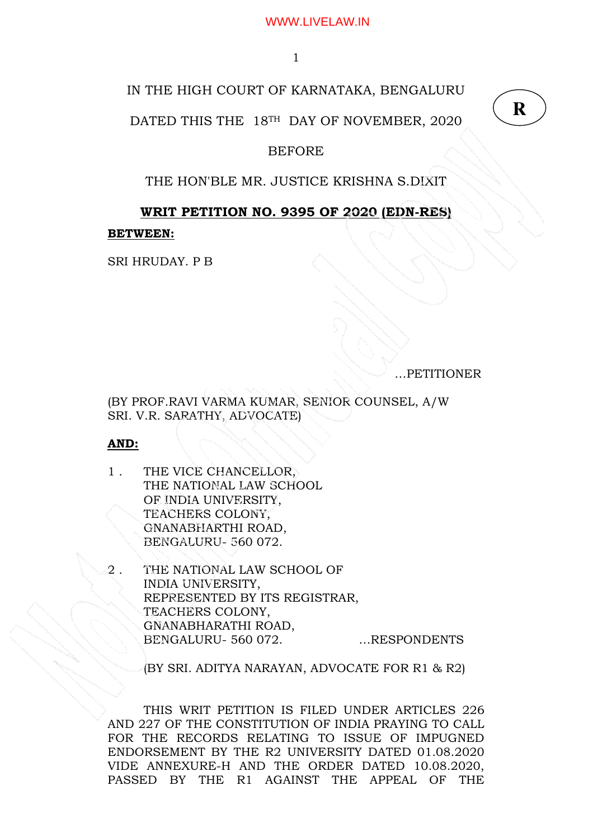1

# IN THE HIGH COURT OF KARNATAKA, BENGALURU

DATED THIS THE 18TH DAY OF NOVEMBER, 2020

## BEFORE

# THE HON'BLE MR. JUSTICE KRISHNA S.DIXIT

# WRIT PETITION NO. 9395 OF 2020 (EDN-RES)

## BETWEEN:

SRI HRUDAY. P B

…PETITIONER

(BY PROF.RAVI VARMA KUMAR, SENIOR COUNSEL, A/W SRI. V.R. SARATHY, ADVOCATE)

AND:

- 1 . THE VICE CHANCELLOR, THE NATIONAL LAW SCHOOL OF INDIA UNIVERSITY, TEACHERS COLONY, GNANABHARTHI ROAD, BENGALURU- 560 072.
- THE NATIONAL LAW SCHOOL OF INDIA UNIVERSITY, REPRESENTED BY ITS REGISTRAR, TEACHERS COLONY, GNANABHARATHI ROAD, BENGALURU- 560 072. …RESPONDENTS

(BY SRI. ADITYA NARAYAN, ADVOCATE FOR R1 & R2)

THIS WRIT PETITION IS FILED UNDER ARTICLES 226 AND 227 OF THE CONSTITUTION OF INDIA PRAYING TO CALL FOR THE RECORDS RELATING TO ISSUE OF IMPUGNED ENDORSEMENT BY THE R2 UNIVERSITY DATED 01.08.2020 VIDE ANNEXURE-H AND THE ORDER DATED 10.08.2020, PASSED BY THE R1 AGAINST THE APPEAL OF THE

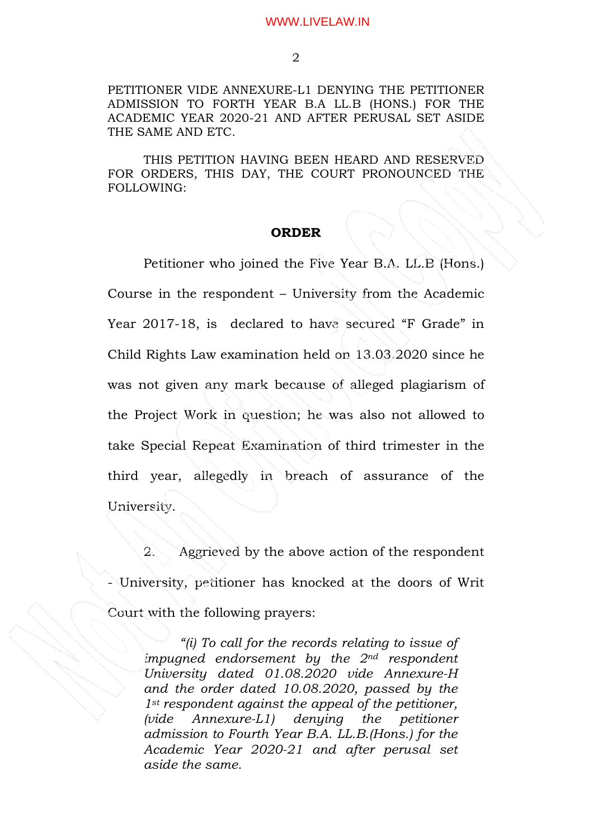PETITIONER VIDE ANNEXURE-L1 DENYING THE PETITIONER ADMISSION TO FORTH YEAR B.A LL.B (HONS.) FOR THE ACADEMIC YEAR 2020-21 AND AFTER PERUSAL SET ASIDE THE SAME AND ETC.

 THIS PETITION HAVING BEEN HEARD AND RESERVED FOR ORDERS, THIS DAY, THE COURT PRONOUNCED THE FOLLOWING:

### ORDER

Petitioner who joined the Five Year B.A. LL.B (Hons.) Course in the respondent – University from the Academic Year 2017-18, is declared to have secured "F Grade" in Child Rights Law examination held on 13.03.2020 since he was not given any mark because of alleged plagiarism of the Project Work in question; he was also not allowed to take Special Repeat Examination of third trimester in the third year, allegedly in breach of assurance of the University.

 2. Aggrieved by the above action of the respondent - University, petitioner has knocked at the doors of Writ Court with the following prayers:

"(i) To call for the records relating to issue of impugned endorsement by the  $2<sup>nd</sup>$  respondent University dated 01.08.2020 vide Annexure-H and the order dated 10.08.2020, passed by the 1<sup>st</sup> respondent against the appeal of the petitioner, (vide Annexure-L1) denying the petitioner admission to Fourth Year B.A. LL.B.(Hons.) for the Academic Year 2020-21 and after perusal set aside the same.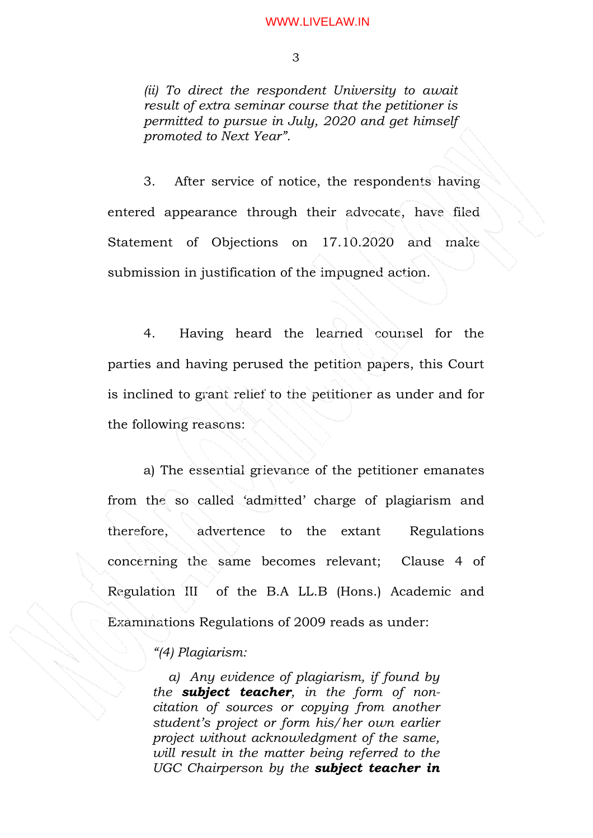(ii) To direct the respondent University to await result of extra seminar course that the petitioner is permitted to pursue in July, 2020 and get himself promoted to Next Year".

 3. After service of notice, the respondents having entered appearance through their advocate, have filed Statement of Objections on 17.10.2020 and make submission in justification of the impugned action.

 4. Having heard the learned counsel for the parties and having perused the petition papers, this Court is inclined to grant relief to the petitioner as under and for the following reasons:

 a) The essential grievance of the petitioner emanates from the so called 'admitted' charge of plagiarism and therefore, advertence to the extant Regulations concerning the same becomes relevant; Clause 4 of Regulation III of the B.A LL.B (Hons.) Academic and Examinations Regulations of 2009 reads as under:

## "(4) Plagiarism:

 a) Any evidence of plagiarism, if found by the subject teacher, in the form of noncitation of sources or copying from another student's project or form his/her own earlier project without acknowledgment of the same, will result in the matter being referred to the UGC Chairperson by the subject teacher in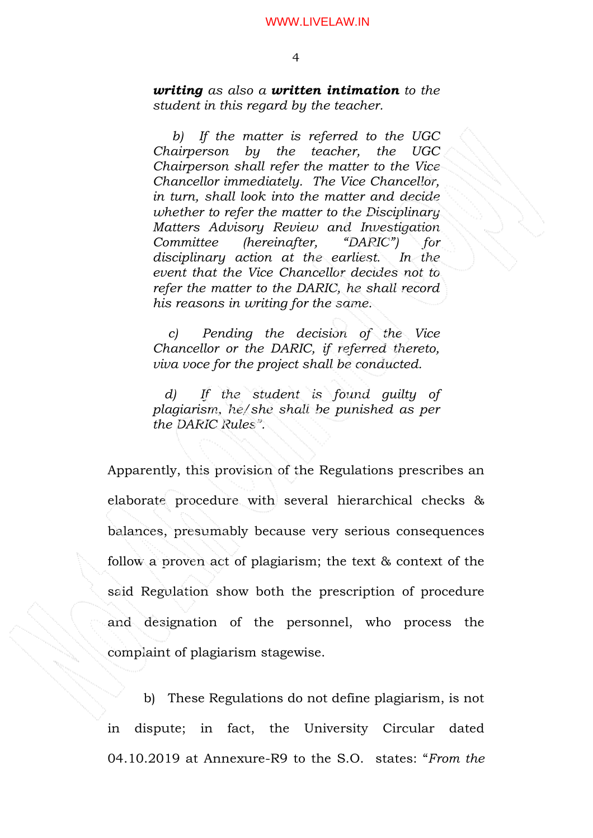writing as also a written intimation to the student in this regard by the teacher.

 b) If the matter is referred to the UGC Chairperson by the teacher, the UGC Chairperson shall refer the matter to the Vice Chancellor immediately. The Vice Chancellor, in turn, shall look into the matter and decide whether to refer the matter to the Disciplinary Matters Advisory Review and Investigation Committee (hereinafter, "DARIC") for disciplinary action at the earliest. In the event that the Vice Chancellor decides not to refer the matter to the DARIC, he shall record his reasons in writing for the same.

 c) Pending the decision of the Vice Chancellor or the DARIC, if referred thereto, viva voce for the project shall be conducted.

 d) If the student is found guilty of plagiarism, he/she shall be punished as per the DARIC Rules".

Apparently, this provision of the Regulations prescribes an elaborate procedure with several hierarchical checks & balances, presumably because very serious consequences follow a proven act of plagiarism; the text & context of the said Regulation show both the prescription of procedure and designation of the personnel, who process the complaint of plagiarism stagewise.

 b) These Regulations do not define plagiarism, is not in dispute; in fact, the University Circular dated 04.10.2019 at Annexure-R9 to the S.O. states: "From the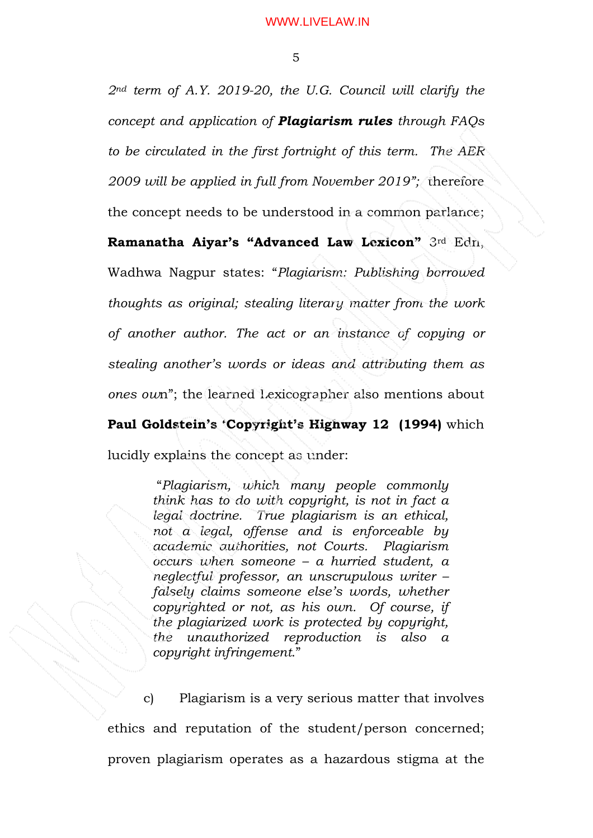2nd term of A.Y. 2019-20, the U.G. Council will clarify the concept and application of **Plagiarism rules** through FAQs to be circulated in the first fortnight of this term. The AER 2009 will be applied in full from November 2019"; therefore the concept needs to be understood in a common parlance; Ramanatha Aiyar's "Advanced Law Lexicon" 3rd Edn, Wadhwa Nagpur states: "Plagiarism: Publishing borrowed thoughts as original; stealing literary matter from the work of another author. The act or an instance of copying or stealing another's words or ideas and attributing them as ones own"; the learned Lexicographer also mentions about Paul Goldstein's 'Copyright's Highway 12 (1994) which lucidly explains the concept as under:

> "Plagiarism, which many people commonly think has to do with copyright, is not in fact a legal doctrine. True plagiarism is an ethical, not a legal, offense and is enforceable by academic authorities, not Courts. Plagiarism occurs when someone – a hurried student, a neglectful professor, an unscrupulous writer – falsely claims someone else's words, whether copyrighted or not, as his own. Of course, if the plagiarized work is protected by copyright, the unauthorized reproduction is also a copyright infringement."

 c) Plagiarism is a very serious matter that involves ethics and reputation of the student/person concerned; proven plagiarism operates as a hazardous stigma at the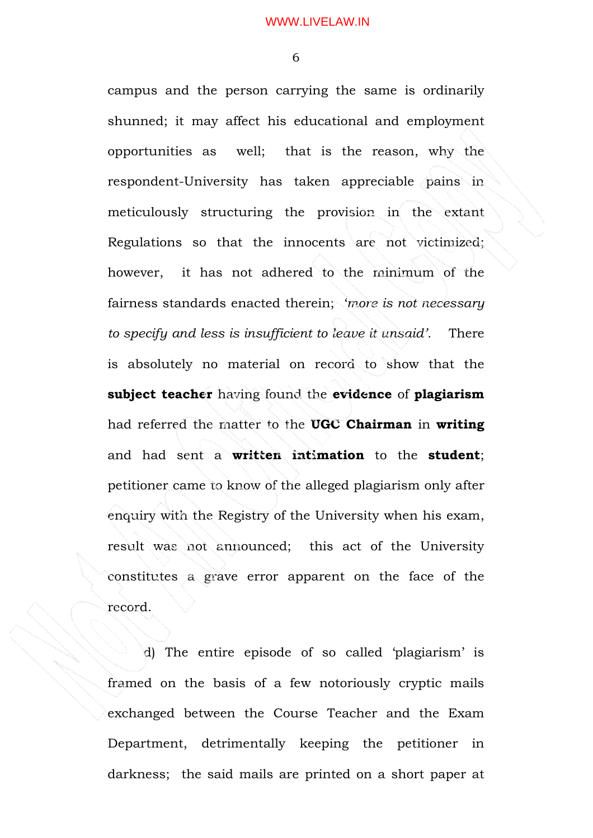6

campus and the person carrying the same is ordinarily shunned; it may affect his educational and employment opportunities as well; that is the reason, why the respondent-University has taken appreciable pains in meticulously structuring the provision in the extant Regulations so that the innocents are not victimized; however, it has not adhered to the minimum of the fairness standards enacted therein; 'more is not necessary to specify and less is insufficient to leave it unsaid'. There is absolutely no material on record to show that the subject teacher having found the evidence of plagiarism had referred the matter to the UGC Chairman in writing and had sent a written intimation to the student; petitioner came to know of the alleged plagiarism only after enquiry with the Registry of the University when his exam, result was not announced; this act of the University constitutes a grave error apparent on the face of the record.

 d) The entire episode of so called 'plagiarism' is framed on the basis of a few notoriously cryptic mails exchanged between the Course Teacher and the Exam Department, detrimentally keeping the petitioner in darkness; the said mails are printed on a short paper at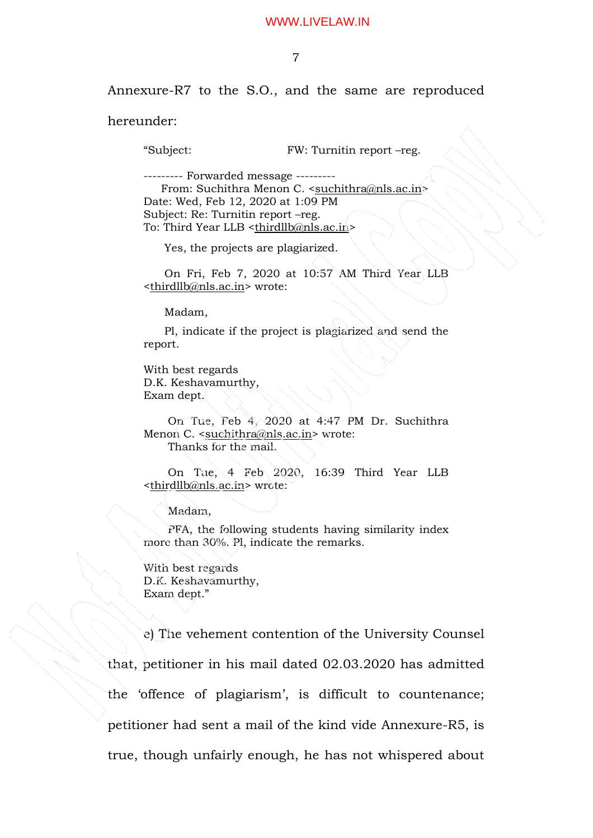7

Annexure-R7 to the S.O., and the same are reproduced

hereunder:

"Subject: FW: Turnitin report –reg.

--------- Forwarded message --------- From: Suchithra Menon C. <suchithra@nls.ac.in> Date: Wed, Feb 12, 2020 at 1:09 PM Subject: Re: Turnitin report –reg. To: Third Year LLB <thirdllb@nls.ac.in>

Yes, the projects are plagiarized.

 On Fri, Feb 7, 2020 at 10:57 AM Third Year LLB <thirdllb@nls.ac.in> wrote:

Madam,

 Pl, indicate if the project is plagiarized and send the report.

With best regards D.K. Keshavamurthy, Exam dept.

 On Tue, Feb 4, 2020 at 4:47 PM Dr. Suchithra Menon C. <suchithra@nls.ac.in> wrote: Thanks for the mail.

 On Tue, 4 Feb 2020, 16:39 Third Year LLB <thirdllb@nls.ac.in> wrote:

Madam,

 PFA, the following students having similarity index more than 30%. Pl, indicate the remarks.

With best regards D.K. Keshavamurthy, Exam dept."

 e) The vehement contention of the University Counsel that, petitioner in his mail dated 02.03.2020 has admitted the 'offence of plagiarism', is difficult to countenance; petitioner had sent a mail of the kind vide Annexure-R5, is true, though unfairly enough, he has not whispered about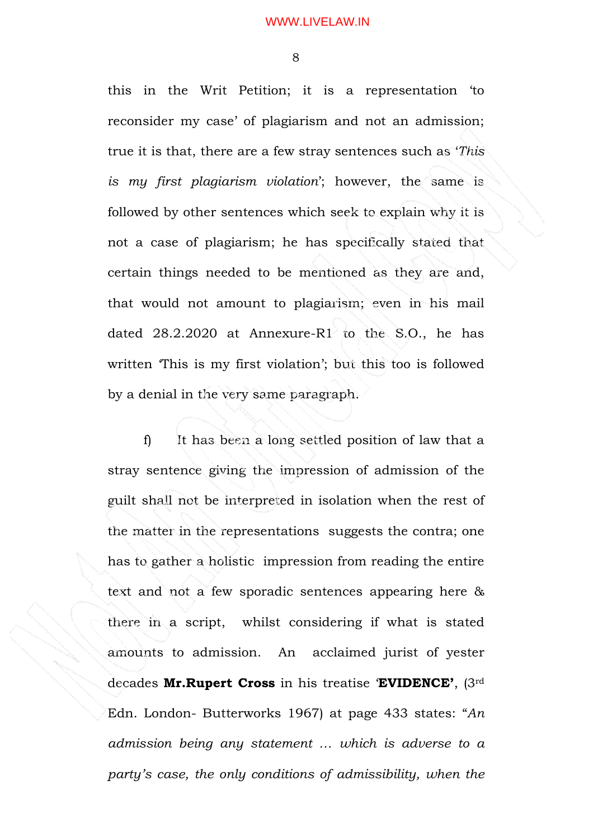8

this in the Writ Petition; it is a representation 'to reconsider my case' of plagiarism and not an admission; true it is that, there are a few stray sentences such as 'This is my first plagiarism violation'; however, the same is followed by other sentences which seek to explain why it is not a case of plagiarism; he has specifically stated that certain things needed to be mentioned as they are and, that would not amount to plagiarism; even in his mail dated 28.2.2020 at Annexure-R1 to the S.O., he has written 'This is my first violation'; but this too is followed by a denial in the very same paragraph.

 f) It has been a long settled position of law that a stray sentence giving the impression of admission of the guilt shall not be interpreted in isolation when the rest of the matter in the representations suggests the contra; one has to gather a holistic impression from reading the entire text and not a few sporadic sentences appearing here & there in a script, whilst considering if what is stated amounts to admission. An acclaimed jurist of yester decades Mr.Rupert Cross in his treatise 'EVIDENCE', (3rd Edn. London- Butterworks 1967) at page 433 states: "An admission being any statement … which is adverse to a party's case, the only conditions of admissibility, when the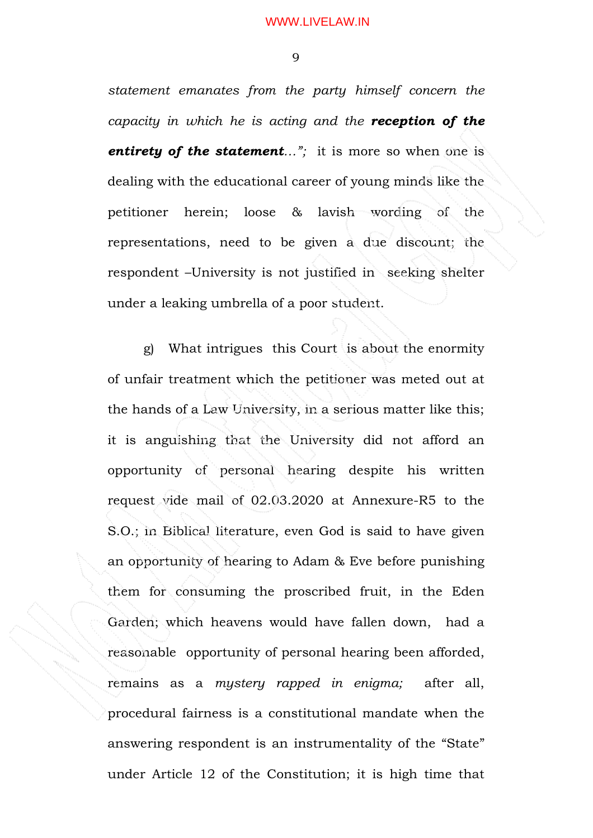9

statement emanates from the party himself concern the capacity in which he is acting and the **reception of the** entirety of the statement..."; it is more so when one is dealing with the educational career of young minds like the petitioner herein; loose & lavish wording of the representations, need to be given a due discount; the respondent –University is not justified in seeking shelter under a leaking umbrella of a poor student.

 g) What intrigues this Court is about the enormity of unfair treatment which the petitioner was meted out at the hands of a Law University, in a serious matter like this; it is anguishing that the University did not afford an opportunity of personal hearing despite his written request vide mail of 02.03.2020 at Annexure-R5 to the S.O.; in Biblical literature, even God is said to have given an opportunity of hearing to Adam & Eve before punishing them for consuming the proscribed fruit, in the Eden Garden; which heavens would have fallen down, had a reasonable opportunity of personal hearing been afforded, remains as a mystery rapped in enigma; after all, procedural fairness is a constitutional mandate when the answering respondent is an instrumentality of the "State" under Article 12 of the Constitution; it is high time that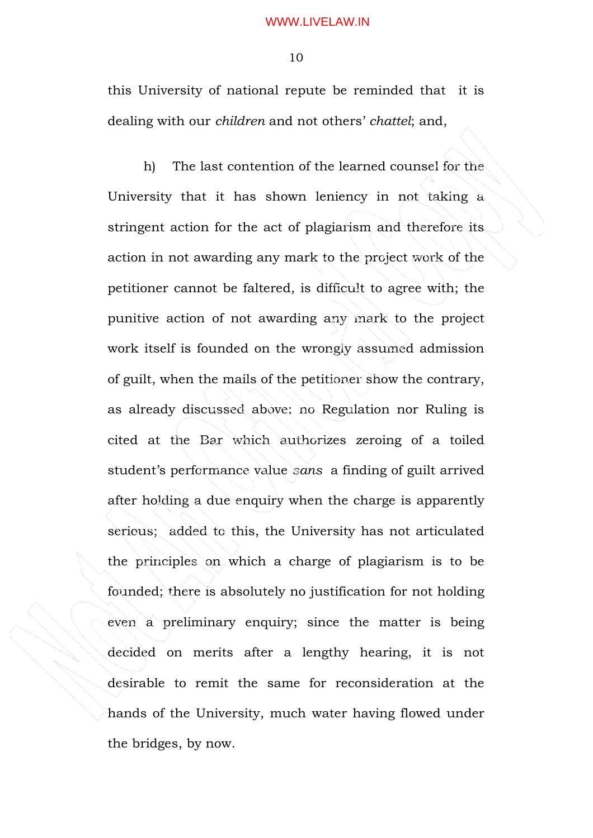10

this University of national repute be reminded that it is dealing with our children and not others' chattel; and,

 h) The last contention of the learned counsel for the University that it has shown leniency in not taking a stringent action for the act of plagiarism and therefore its action in not awarding any mark to the project work of the petitioner cannot be faltered, is difficult to agree with; the punitive action of not awarding any mark to the project work itself is founded on the wrongly assumed admission of guilt, when the mails of the petitioner show the contrary, as already discussed above; no Regulation nor Ruling is cited at the Bar which authorizes zeroing of a toiled student's performance value sans a finding of guilt arrived after holding a due enquiry when the charge is apparently serious; added to this, the University has not articulated the principles on which a charge of plagiarism is to be founded; there is absolutely no justification for not holding even a preliminary enquiry; since the matter is being decided on merits after a lengthy hearing, it is not desirable to remit the same for reconsideration at the hands of the University, much water having flowed under the bridges, by now.